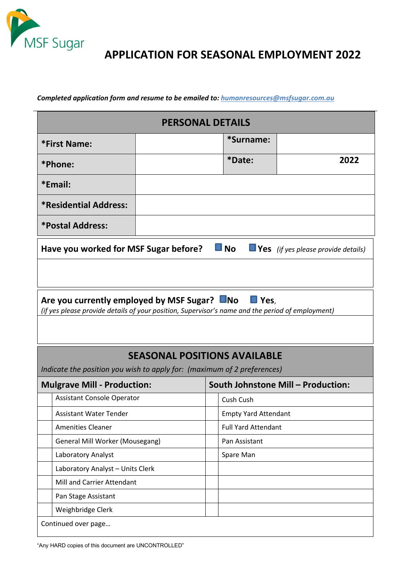

## **APPLICATION FOR SEASONAL EMPLOYMENT 2022**

*Completed application form and resume to be emailed to: humanresources@msfsugar.com.au*

| <b>PERSONAL DETAILS</b>                                                                                                                                                |  |                                    |                             |      |  |  |
|------------------------------------------------------------------------------------------------------------------------------------------------------------------------|--|------------------------------------|-----------------------------|------|--|--|
| <b>*First Name:</b>                                                                                                                                                    |  |                                    | *Surname:                   |      |  |  |
| *Phone:                                                                                                                                                                |  |                                    | *Date:                      | 2022 |  |  |
| *Email:                                                                                                                                                                |  |                                    |                             |      |  |  |
| <b>*Residential Address:</b>                                                                                                                                           |  |                                    |                             |      |  |  |
| *Postal Address:                                                                                                                                                       |  |                                    |                             |      |  |  |
| $\blacksquare$ No $\blacksquare$ Yes (if yes please provide details)<br>Have you worked for MSF Sugar before?                                                          |  |                                    |                             |      |  |  |
|                                                                                                                                                                        |  |                                    |                             |      |  |  |
| Are you currently employed by MSF Sugar? No<br>$\blacksquare$ Yes,<br>(if yes please provide details of your position, Supervisor's name and the period of employment) |  |                                    |                             |      |  |  |
|                                                                                                                                                                        |  |                                    |                             |      |  |  |
| <b>SEASONAL POSITIONS AVAILABLE</b><br>Indicate the position you wish to apply for: (maximum of 2 preferences)                                                         |  |                                    |                             |      |  |  |
| <b>Mulgrave Mill - Production:</b>                                                                                                                                     |  | South Johnstone Mill - Production: |                             |      |  |  |
| <b>Assistant Console Operator</b>                                                                                                                                      |  |                                    | Cush Cush                   |      |  |  |
| <b>Assistant Water Tender</b>                                                                                                                                          |  |                                    | <b>Empty Yard Attendant</b> |      |  |  |
| Amenities Cleaner                                                                                                                                                      |  |                                    | <b>Full Yard Attendant</b>  |      |  |  |
| <b>General Mill Worker (Mousegang)</b>                                                                                                                                 |  |                                    | Pan Assistant               |      |  |  |
| Laboratory Analyst                                                                                                                                                     |  |                                    | Spare Man                   |      |  |  |
| Laboratory Analyst - Units Clerk                                                                                                                                       |  |                                    |                             |      |  |  |
| Mill and Carrier Attendant                                                                                                                                             |  |                                    |                             |      |  |  |
| Pan Stage Assistant                                                                                                                                                    |  |                                    |                             |      |  |  |
| Weighbridge Clerk                                                                                                                                                      |  |                                    |                             |      |  |  |
| Continued over page                                                                                                                                                    |  |                                    |                             |      |  |  |